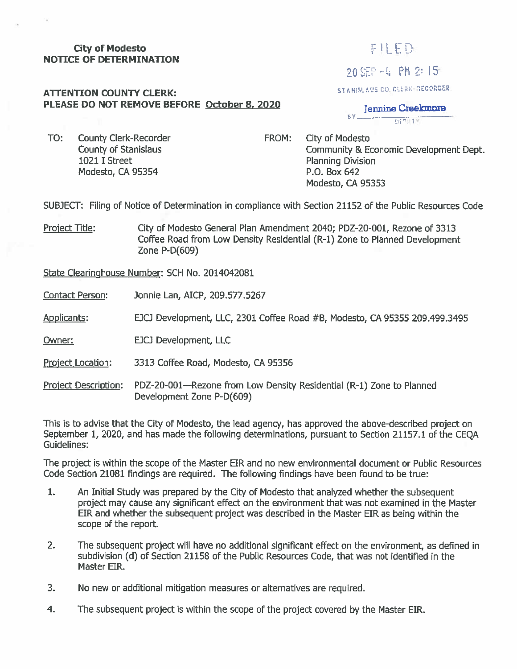# <sup>20</sup> SEP *-U* PH 2- 15' **City of Modesto NOTICE OF DETERMINATION**

## FILED

#### **ATTENTION COUNTY CLERK:**  $S_{\text{L}}$  **COUNTY CLERK:**  $S_{\text{L}}$  **COUNTY CLERK:**  $S_{\text{L}}$  **COUNTY CLERK:**  $S_{\text{L}}$  **COUNTY CLERK:**  $S_{\text{L}}$  **COUNTY CLERK:**  $S_{\text{L}}$  **COUNTY CLERK:**  $S_{\text{L}}$  **COUNTY CLERK:**

**PLEASE DO NOT REMOVE BEFORE October 8. 2020** 

**BY** Jennine Creekmore **Ilf !'. !**

TO: County Clerk-Recorder County of Stanislaus 1021 I Street Modesto, CA 95354

City of Modesto Community & Economic Development Dept. Planning Division P.O. Box 642 Modesto, CA 95353 FROM:

SUBJECT: Filing of Notice of Determination in compliance with Section 21152 of the Public Resources Code

Project Title: City of Modesto General Plan Amendment 2040; PDZ-20-001, Rezone of 3313 Coffee Road from Low Density Residential (R-l) Zone to Planned Development Zone P-D(609)

State Clearinghouse Number: SCH No. 2014042081

Contact Person: Jonnie Lan, AICP, 209.577.5267

Applicants: EJCJ Development, LLC, 2301 Coffee Road #B, Modesto, CA 95355 209.499.3495

Owner: **DECJ** Development, LLC

Project Location: <sup>3313</sup> Coffee Road, Modesto, CA <sup>95356</sup>

Project Description: PDZ-20-001—Rezone from Low Density Residential (R-1) Zone to Planned Development Zone P-D(609)

This is to advise that the City of Modesto, the lead agency, has approved the above-described project on September 1, 2020, and has made the following determinations, pursuant to Section 21157.1 of the CEQA Guidelines:

The project is within the scope of the Master EIR and no new environmental document or Public Resources Code Section 21081 findings are required. The following findings have been found to be true:

- An Initial Study was prepared by the City of Modesto that analyzed whether the subsequent project may cause any significant effect on the environment that was not examined in the Master EIR and whether the subsequent project was described in the Master EIR as being within the scope of the report. **1.**
- The subsequent project will have no additional significant effect on the environment, as defined in subdivision (d) of Section 21158 of the Public Resources Code, that was not identified in the Master EIR. 2**.**
- No new or additional mitigation measures or alternatives are required. 3.
- The subsequent project is within the scope of the project covered by the Master EIR. 4.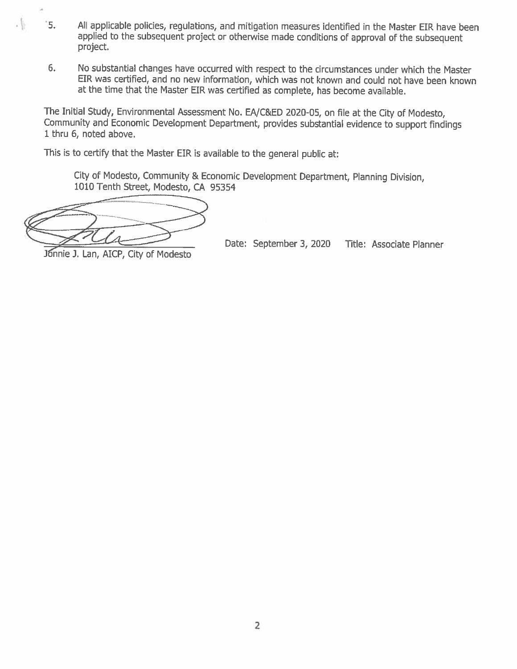- <sup>5</sup> 5. All applicable policies, requlations, and mitigation measures identified in the Master EIR have been applied to the subsequent project or otherwise made conditions of approval of the subsequent project.
- No substantial changes have occurred with respect to the circumstances under which the Master EIR was certified, and no new information, which was not known and could not have been known at the time that the Master EIR was certified as complete, has become available. **6.**

The Initial Study, Environmental Assessment No. EA/C&ED <sup>2020</sup>-05, on file at the City of Modesto, Community and Economic Development Department, provides substantial evidence to support findings 1thru 6, noted above.

This is to certify that the Master EIR is available to the general public at:

City of Modesto, Community & Economic Development Department, Planning Division, 1010 Tenth Street, Modesto, CA <sup>95354</sup>

Date: September 3, 2020 Title: Associate Planner<br>Jonnie J. Lan, AICP, City of Modesto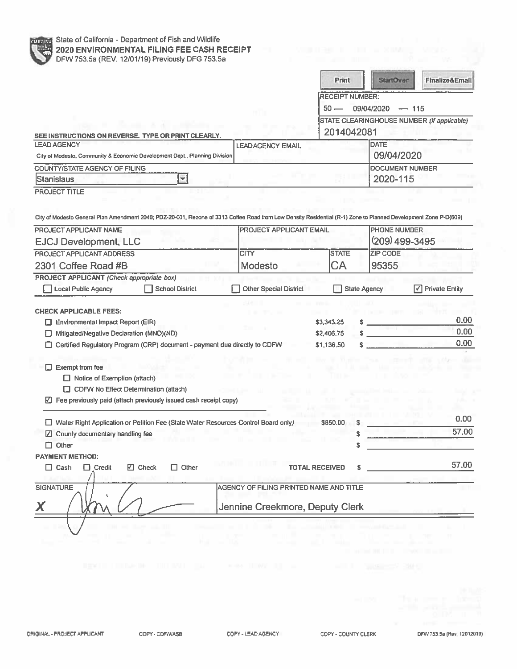|                                                                                                                                                                                     |                                         | <b>Print</b>                   |                                                          | <b>StartOver</b>                      | Finalize&Email                      |  |
|-------------------------------------------------------------------------------------------------------------------------------------------------------------------------------------|-----------------------------------------|--------------------------------|----------------------------------------------------------|---------------------------------------|-------------------------------------|--|
|                                                                                                                                                                                     |                                         | <b>RECEIPT NUMBER:</b>         |                                                          |                                       |                                     |  |
|                                                                                                                                                                                     |                                         | $50 -$                         | 09/04/2020<br>$-115$                                     |                                       |                                     |  |
| SEE INSTRUCTIONS ON REVERSE. TYPE OR PRINT CLEARLY.                                                                                                                                 |                                         |                                | STATE CLEARINGHOUSE NUMBER (If applicable)<br>2014042081 |                                       |                                     |  |
| <b>LEAD AGENCY</b>                                                                                                                                                                  | <b>LEADAGENCY EMAIL</b>                 |                                |                                                          | <b>DATE</b>                           |                                     |  |
| City of Modesto, Community & Economic Development Dept., Planning Division                                                                                                          |                                         |                                |                                                          | 09/04/2020                            |                                     |  |
| <b>COUNTY/STATE AGENCY OF FILING</b>                                                                                                                                                |                                         |                                |                                                          |                                       | <b>DOCUMENT NUMBER</b>              |  |
| <b>Stanislaus</b><br>▼                                                                                                                                                              |                                         |                                | 2020-115                                                 |                                       |                                     |  |
| PROJECT APPLICANT NAME<br><b>EJCJ Development, LLC</b>                                                                                                                              |                                         | <b>PROJECT APPLICANT EMAIL</b> |                                                          | <b>PHONE NUMBER</b><br>(209) 499-3495 |                                     |  |
| PROJECT APPLICANT ADDRESS                                                                                                                                                           | <b>CITY</b>                             | <b>STATE</b>                   |                                                          | <b>ZIP CODE</b>                       |                                     |  |
| 2301 Coffee Road #B                                                                                                                                                                 | Modesto                                 | СA                             |                                                          | 95355                                 |                                     |  |
|                                                                                                                                                                                     |                                         |                                |                                                          |                                       |                                     |  |
| Local Public Agency<br><b>School District</b>                                                                                                                                       | <b>Other Special District</b>           |                                | <b>State Agency</b>                                      |                                       | $\boxed{\checkmark}$ Private Entity |  |
|                                                                                                                                                                                     |                                         | \$3,343.25                     |                                                          |                                       |                                     |  |
| Environmental Impact Report (EIR)<br>Mitigated/Negative Declaration (MND)(ND)<br>1 I                                                                                                |                                         | \$2,406.75                     |                                                          |                                       | 0.00<br>0.00                        |  |
| PROJECT APPLICANT (Check appropriate box)<br><b>CHECK APPLICABLE FEES:</b><br>Certified Regulatory Program (CRP) document - payment due directly to CDFW                            |                                         | \$1,136.50                     |                                                          |                                       |                                     |  |
| $\Box$ Exempt from fee<br>$\Box$ Notice of Exemption (attach)<br>$\Box$ CDFW No Effect Determination (attach)<br>☑ Fee previously paid (attach previously issued cash receipt copy) |                                         |                                |                                                          |                                       | 0.00                                |  |
| □ Water Right Application or Petition Fee (State Water Resources Control Board only)                                                                                                |                                         | \$850.00                       |                                                          |                                       | 0.00                                |  |
| ☑ County documentary handling fee                                                                                                                                                   |                                         |                                | \$                                                       |                                       | 57.00                               |  |
| $\Box$ Other                                                                                                                                                                        |                                         |                                | S                                                        |                                       |                                     |  |
| $\Box$ Other<br>$\square$ Check<br>$\Box$ Cash<br>$\Box$ Credit                                                                                                                     |                                         | <b>TOTAL RECEIVED</b>          |                                                          |                                       | 57.00                               |  |
|                                                                                                                                                                                     | AGENCY OF FILING PRINTED NAME AND TITLE |                                |                                                          |                                       |                                     |  |
| <b>PAYMENT METHOD:</b><br><b>SIGNATURE</b>                                                                                                                                          | Jennine Creekmore, Deputy Clerk         |                                |                                                          |                                       |                                     |  |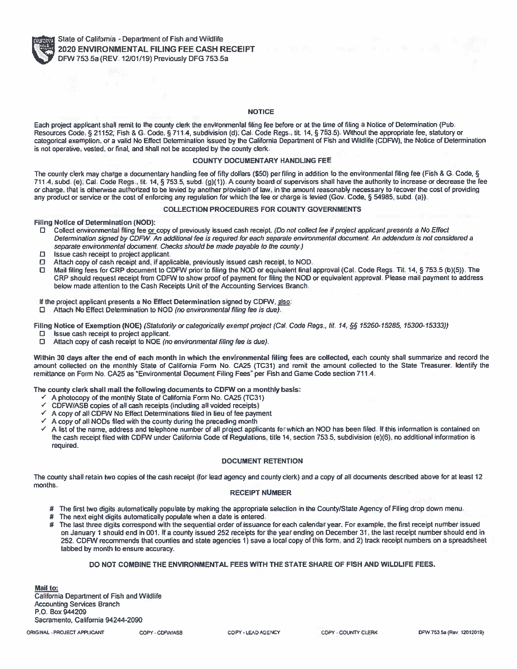

#### **NOTICE**

Each project applicant shall remit to the county clerk the environmental fiting fee before or at the time of filing a Notice of Determination (Pub,<br>Pescures Code & 21152: Fish & G. Code & 711.4, subdivision (d): Code Regal **Resources Code, § 21152; Fish**Resources Code, § 21152; Fish & G. Code, § 711.4, subdivision (d); Cal. Code Regs., tit. 14, § 753.5). Without the appropriate fee, statutory or<br>categorical exemption, or a valid No Effect Determination issued by the Calif **is not operative, vested, or final, and shall not be accepted by the county clerk.**

### **COUNTY DOCUMENTARY HANDLING FEE**

The county clerk may charge a documentary handling fee of fifty dollars (\$50) per filing in addition to the environmental filing fee (Fish & G. Code, §<br>711.4, subd. (e): Cal. Code Regs. tit. 14, 8,753.5, subd. (g)(1)). A c **711.4, subd. (e); Cal. Code Regs. , tit. 14, § 753.5, subd. (g)(1)). <sup>A</sup>**711.4, subd. (e); Cal. Code Regs., tit. 14, § 753.5, subd. (g)(1)). A county board of supervisors shall have the authority to increase or decrease the fee<br>or charge, that is otherwise authorized to be levied by another pro any product or service or the cost of enforcing any regulation for which the fee or charge is levied (Gov. Code, § 54985, subd. (a)).<br>

#### **COLLECTION PROCEDURES FOR COUNTY GOVERNMENTS**

**Filing Notice of Determination (NOD):**

- **Collect environmental filing cash receipt** *(Do not collect fee if project applicant presents <sup>a</sup> No Effect* Collect environmental filing fee <u>or </u>copy of previously issued cash receipt. (Do not collect fee if project applicant presents a No Effect<br>Determination signed by CDFW. An additional fee is required for each separate envi *separate environmental document Checks should be made payable to the county. )*
- $\Box$ **Issue cash receipt to**
- $\Box$ Attach copy of cash receipt and, if applicable, previously issued cash receipt, to NOD.
- Attach copy of cash receipt and, if applicable, previously issued cash receipt, to NOD.<br>Mail filing fees for CRP document to CDFW prior to filing the NOD or equivalent final<br>CBP should request receipt from CDFW to show pro п Mail filing fees for CRP document to CDFW prior to filing the NOD or equivalent final approval (Cal. Code Regs. Tit. 14, § 753.5 (b)(5)). The<br>CRP should request receipt from CDFW to show proof of payment for filing the NOD  $CRP$  should request receipt from CDFW to show proof of payment for filing the NOI<br>below made attention to the Cash Receipts Unit of the Accounting Services Branch.<br>.

#### **If the project applicant presents <sup>a</sup> No Effect Determination signed by CDFW, also:**

**Attach No Effect Determination to NOD** *(no environmental filing fee is due).*

Filing Notice of Exemption (NOE) (Statutorily or categorically exempt project (Cal. Code Regs., til. 14, §§ 15260-15285, 15300-15333))<br>El alterio cach receipt to project applicant

- **Issue cash receipt to project applicant,**
- $\Box$ **Attach copy of cash receipt to NOE** *(no environmental filing fee is due).*

Within 30 days after the end of each month in which the environmental filing fees are collected, each county shall summarize and record the<br>concurt collected on the monthly State of California Form No. CA25 (TC31) and remi amount collected on the monthly State of California Form No. CA25 (TC31) and remit the amount collected to the State Treasurer. Identify the<br>remittance on Form No. CA25 as "Environmental Document Filing Fees" per Fish and **remittance on Form No. CA25 as "Environmental Document Filing Fees" per Fish and Game Code section 711.4.**

**The county clerk shall mail the following documents to CDFW on <sup>a</sup> monthly basis:**

- *s* **<sup>A</sup>**
- **photocopy of the monthly State of California Form No. CA25 (TC31)** *s* **CDFW/ASB**
- **copies of all cash receipts (including aM voided receipts)** *\**
- **<sup>A</sup> copy of all CDFW No Effect Determinations filed in lieu of fee payment** *s* **<sup>A</sup>**
- ✓ A copy of all NODs filed with the county during the preceding month<br>✓ A list of the name, address and telephone number of all project applicants for which an NOD has been filed. If this information is contained on<br>The *s*the cash receipt filed with CDFW under California Code of Regulations, title 14, section 753.5, subdivision (e)(6), no additional information is<br>required. **required.**

#### **DOCUMENT RETENTION**

The county shall retain two copies of the cash receipt (for lead agency and county clerk) and a copy of all documents described above for at least 12<br>months **months.**

#### **RECEIPT NUMBER**

- # The first two digits automatically populate by making the appropriate selection in the County/State Agency of Filing drop down menu.<br># The next eight digits automatically populate when a date is entered.
- **The next eight digits automatically populate when**
- # The next eight digits automatically populate when a date is entered.<br># The last three digits correspond with the sequential order of issuance for each calendar year. For example, the first receipt number issued<br>- on Janu on January 1 should end in 001. If a county issued 252 receipts for the year ending on December 31, the last receipt number should end in<br>252. CDEM recommends that counties and state anoncies 1) save a local copy of this f 252. CDFW recommends that counties and state agencies 1) save a local copy of this form, and 2) track receipt numbers on a spreadsheet<br>tabbed by month to ensure accuracy. **tabbed by month to ensure accuracy.**

### **DO NOT COMBINE THE ENVIRONMENTAL FEES WITH THE STATE SHARE OF FISH AND WILDLIFE FEES.**

**Mail to: California Department of Fish and Wildlife Accounting Services BranchP.O. Box <sup>944209</sup>Sacramento, California 94244-2090**